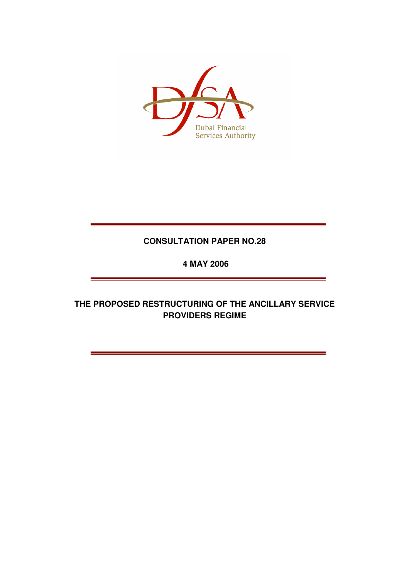

# **CONSULTATION PAPER NO.28**

 **4 MAY 2006** 

**THE PROPOSED RESTRUCTURING OF THE ANCILLARY SERVICE PROVIDERS REGIME**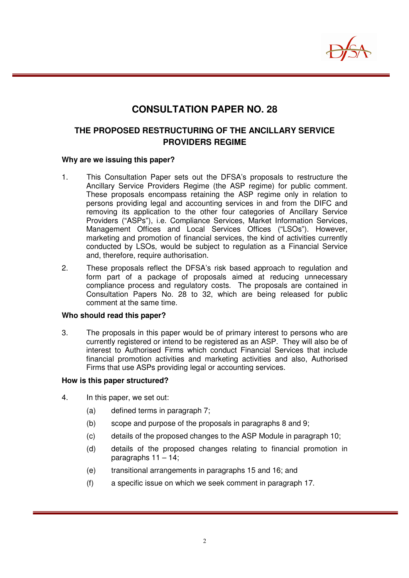

# **CONSULTATION PAPER NO. 28**

# **THE PROPOSED RESTRUCTURING OF THE ANCILLARY SERVICE PROVIDERS REGIME**

#### **Why are we issuing this paper?**

- 1. This Consultation Paper sets out the DFSA's proposals to restructure the Ancillary Service Providers Regime (the ASP regime) for public comment. These proposals encompass retaining the ASP regime only in relation to persons providing legal and accounting services in and from the DIFC and removing its application to the other four categories of Ancillary Service Providers ("ASPs"), i.e. Compliance Services, Market Information Services, Management Offices and Local Services Offices ("LSOs"). However, marketing and promotion of financial services, the kind of activities currently conducted by LSOs, would be subject to regulation as a Financial Service and, therefore, require authorisation.
- 2. These proposals reflect the DFSA's risk based approach to regulation and form part of a package of proposals aimed at reducing unnecessary compliance process and regulatory costs. The proposals are contained in Consultation Papers No. 28 to 32, which are being released for public comment at the same time.

#### **Who should read this paper?**

3. The proposals in this paper would be of primary interest to persons who are currently registered or intend to be registered as an ASP. They will also be of interest to Authorised Firms which conduct Financial Services that include financial promotion activities and marketing activities and also, Authorised Firms that use ASPs providing legal or accounting services.

#### **How is this paper structured?**

- 4. In this paper, we set out:
	- (a) defined terms in paragraph 7;
	- (b) scope and purpose of the proposals in paragraphs 8 and 9;
	- (c) details of the proposed changes to the ASP Module in paragraph 10;
	- (d) details of the proposed changes relating to financial promotion in paragraphs  $11 - 14$ ;
	- (e) transitional arrangements in paragraphs 15 and 16; and
	- (f) a specific issue on which we seek comment in paragraph 17.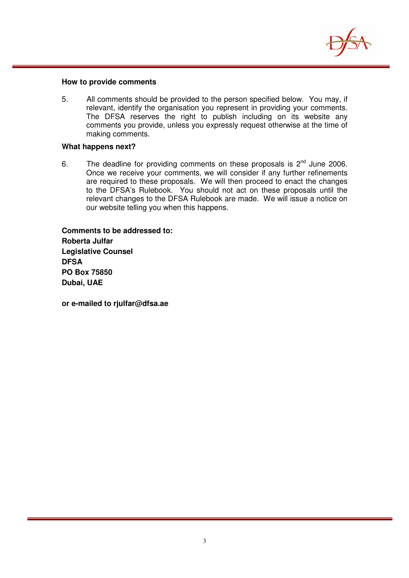

#### **How to provide comments**

5. All comments should be provided to the person specified below. You may, if relevant, identify the organisation you represent in providing your comments. The DFSA reserves the right to publish including on its website any comments you provide, unless you expressly request otherwise at the time of making comments.

#### **What happens next?**

6. The deadline for providing comments on these proposals is  $2^{nd}$  June 2006. Once we receive your comments, we will consider if any further refinements are required to these proposals. We will then proceed to enact the changes to the DFSA's Rulebook. You should not act on these proposals until the relevant changes to the DFSA Rulebook are made. We will issue a notice on our website telling you when this happens.

**Comments to be addressed to: Roberta Julfar Legislative Counsel DFSA PO Box 75850 Dubai, UAE** 

**or e-mailed to rjulfar@dfsa.ae**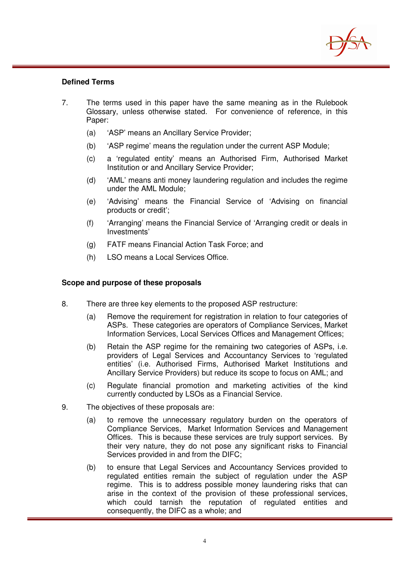

## **Defined Terms**

- 7. The terms used in this paper have the same meaning as in the Rulebook Glossary, unless otherwise stated. For convenience of reference, in this Paper:
	- (a) 'ASP' means an Ancillary Service Provider;
	- (b) 'ASP regime' means the regulation under the current ASP Module;
	- (c) a 'regulated entity' means an Authorised Firm, Authorised Market Institution or and Ancillary Service Provider;
	- (d) 'AML' means anti money laundering regulation and includes the regime under the AML Module;
	- (e) 'Advising' means the Financial Service of 'Advising on financial products or credit';
	- (f) 'Arranging' means the Financial Service of 'Arranging credit or deals in Investments'
	- (g) FATF means Financial Action Task Force; and
	- (h) LSO means a Local Services Office.

#### **Scope and purpose of these proposals**

- 8. There are three key elements to the proposed ASP restructure:
	- (a) Remove the requirement for registration in relation to four categories of ASPs. These categories are operators of Compliance Services, Market Information Services, Local Services Offices and Management Offices;
	- (b) Retain the ASP regime for the remaining two categories of ASPs, i.e. providers of Legal Services and Accountancy Services to 'regulated entities' (i.e. Authorised Firms, Authorised Market Institutions and Ancillary Service Providers) but reduce its scope to focus on AML; and
	- (c) Regulate financial promotion and marketing activities of the kind currently conducted by LSOs as a Financial Service.
- 9. The objectives of these proposals are:
	- (a) to remove the unnecessary regulatory burden on the operators of Compliance Services, Market Information Services and Management Offices. This is because these services are truly support services. By their very nature, they do not pose any significant risks to Financial Services provided in and from the DIFC;
	- (b) to ensure that Legal Services and Accountancy Services provided to regulated entities remain the subject of regulation under the ASP regime. This is to address possible money laundering risks that can arise in the context of the provision of these professional services, which could tarnish the reputation of regulated entities and consequently, the DIFC as a whole; and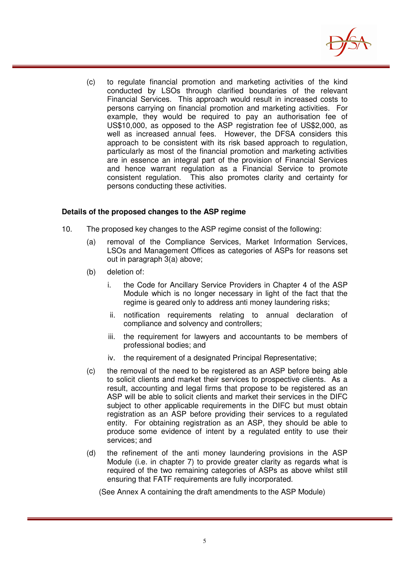

(c) to regulate financial promotion and marketing activities of the kind conducted by LSOs through clarified boundaries of the relevant Financial Services. This approach would result in increased costs to persons carrying on financial promotion and marketing activities. For example, they would be required to pay an authorisation fee of US\$10,000, as opposed to the ASP registration fee of US\$2,000, as well as increased annual fees. However, the DFSA considers this approach to be consistent with its risk based approach to regulation, particularly as most of the financial promotion and marketing activities are in essence an integral part of the provision of Financial Services and hence warrant regulation as a Financial Service to promote consistent regulation. This also promotes clarity and certainty for persons conducting these activities.

## **Details of the proposed changes to the ASP regime**

- 10. The proposed key changes to the ASP regime consist of the following:
	- (a) removal of the Compliance Services, Market Information Services, LSOs and Management Offices as categories of ASPs for reasons set out in paragraph 3(a) above;
	- (b) deletion of:
		- i. the Code for Ancillary Service Providers in Chapter 4 of the ASP Module which is no longer necessary in light of the fact that the regime is geared only to address anti money laundering risks;
		- ii. notification requirements relating to annual declaration of compliance and solvency and controllers;
		- iii. the requirement for lawyers and accountants to be members of professional bodies; and
		- iv. the requirement of a designated Principal Representative;
	- (c) the removal of the need to be registered as an ASP before being able to solicit clients and market their services to prospective clients. As a result, accounting and legal firms that propose to be registered as an ASP will be able to solicit clients and market their services in the DIFC subject to other applicable requirements in the DIFC but must obtain registration as an ASP before providing their services to a regulated entity. For obtaining registration as an ASP, they should be able to produce some evidence of intent by a regulated entity to use their services; and
	- (d) the refinement of the anti money laundering provisions in the ASP Module (i.e. in chapter 7) to provide greater clarity as regards what is required of the two remaining categories of ASPs as above whilst still ensuring that FATF requirements are fully incorporated.

(See Annex A containing the draft amendments to the ASP Module)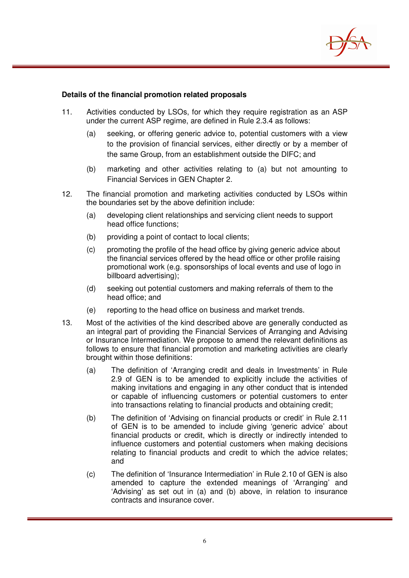

#### **Details of the financial promotion related proposals**

- 11. Activities conducted by LSOs, for which they require registration as an ASP under the current ASP regime, are defined in Rule 2.3.4 as follows:
	- (a) seeking, or offering generic advice to, potential customers with a view to the provision of financial services, either directly or by a member of the same Group, from an establishment outside the DIFC; and
	- (b) marketing and other activities relating to (a) but not amounting to Financial Services in GEN Chapter 2.
- 12. The financial promotion and marketing activities conducted by LSOs within the boundaries set by the above definition include:
	- (a) developing client relationships and servicing client needs to support head office functions;
	- (b) providing a point of contact to local clients:
	- (c) promoting the profile of the head office by giving generic advice about the financial services offered by the head office or other profile raising promotional work (e.g. sponsorships of local events and use of logo in billboard advertising);
	- (d) seeking out potential customers and making referrals of them to the head office; and
	- (e) reporting to the head office on business and market trends.
- 13. Most of the activities of the kind described above are generally conducted as an integral part of providing the Financial Services of Arranging and Advising or Insurance Intermediation. We propose to amend the relevant definitions as follows to ensure that financial promotion and marketing activities are clearly brought within those definitions:
	- (a) The definition of 'Arranging credit and deals in Investments' in Rule 2.9 of GEN is to be amended to explicitly include the activities of making invitations and engaging in any other conduct that is intended or capable of influencing customers or potential customers to enter into transactions relating to financial products and obtaining credit;
	- (b) The definition of 'Advising on financial products or credit' in Rule 2.11 of GEN is to be amended to include giving 'generic advice' about financial products or credit, which is directly or indirectly intended to influence customers and potential customers when making decisions relating to financial products and credit to which the advice relates; and
	- (c) The definition of 'Insurance Intermediation' in Rule 2.10 of GEN is also amended to capture the extended meanings of 'Arranging' and 'Advising' as set out in (a) and (b) above, in relation to insurance contracts and insurance cover.